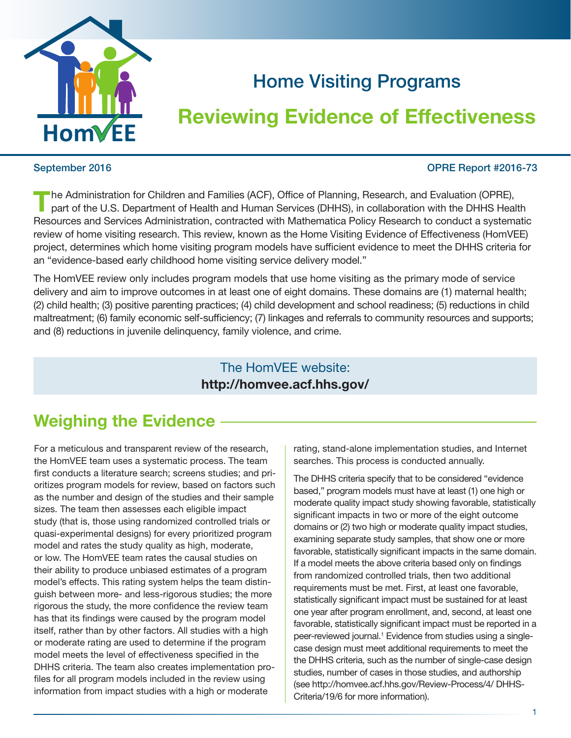

# Home Visiting Programs

# Reviewing Evidence of Effectiveness

#### September 2016 OPRE Report #2016-73

he Administration for Children and Families (ACF), Office of Planning, Research, and Evaluation (OPRE), part of the U.S. Department of Health and Human Services (DHHS), in collaboration with the DHHS Health Resources and Services Administration, contracted with Mathematica Policy Research to conduct a systematic review of home visiting research. This review, known as the Home Visiting Evidence of Effectiveness (HomVEE) project, determines which home visiting program models have sufficient evidence to meet the DHHS criteria for an "evidence-based early childhood home visiting service delivery model."

The HomVEE review only includes program models that use home visiting as the primary mode of service delivery and aim to improve outcomes in at least one of eight domains. These domains are (1) maternal health; (2) child health; (3) positive parenting practices; (4) child development and school readiness; (5) reductions in child maltreatment; (6) family economic self-sufficiency; (7) linkages and referrals to community resources and supports; and (8) reductions in juvenile delinquency, family violence, and crime.

## The HomVEE website: <http://homvee.acf.hhs.gov/>

## Weighing the Evidence

For a meticulous and transparent review of the research, the HomVEE team uses a systematic process. The team first conducts a literature search; screens studies; and prioritizes program models for review, based on factors such as the number and design of the studies and their sample sizes. The team then assesses each eligible impact study (that is, those using randomized controlled trials or quasi-experimental designs) for every prioritized program model and rates the study quality as high, moderate, or low. The HomVEE team rates the causal studies on their ability to produce unbiased estimates of a program model's effects. This rating system helps the team distinguish between more- and less-rigorous studies; the more rigorous the study, the more confidence the review team has that its findings were caused by the program model itself, rather than by other factors. All studies with a high or moderate rating are used to determine if the program model meets the level of effectiveness specified in the DHHS criteria. The team also creates implementation profiles for all program models included in the review using information from impact studies with a high or moderate

rating, stand-alone implementation studies, and Internet searches. This process is conducted annually.

The DHHS criteria specify that to be considered "evidence based," program models must have at least (1) one high or moderate quality impact study showing favorable, statistically significant impacts in two or more of the eight outcome domains or (2) two high or moderate quality impact studies, examining separate study samples, that show one or more favorable, statistically significant impacts in the same domain. If a model meets the above criteria based only on findings from randomized controlled trials, then two additional requirements must be met. First, at least one favorable, statistically significant impact must be sustained for at least one year after program enrollment, and, second, at least one favorable, statistically significant impact must be reported in a peer-reviewed journal.<sup>1</sup> Evidence from studies using a singlecase design must meet additional requirements to meet the the DHHS criteria, such as the number of single-case design studies, number of cases in those studies, and authorship (see http://homvee.acf.hhs.gov/Review-Process/4/ DHHS-Criteria/19/6 for more information).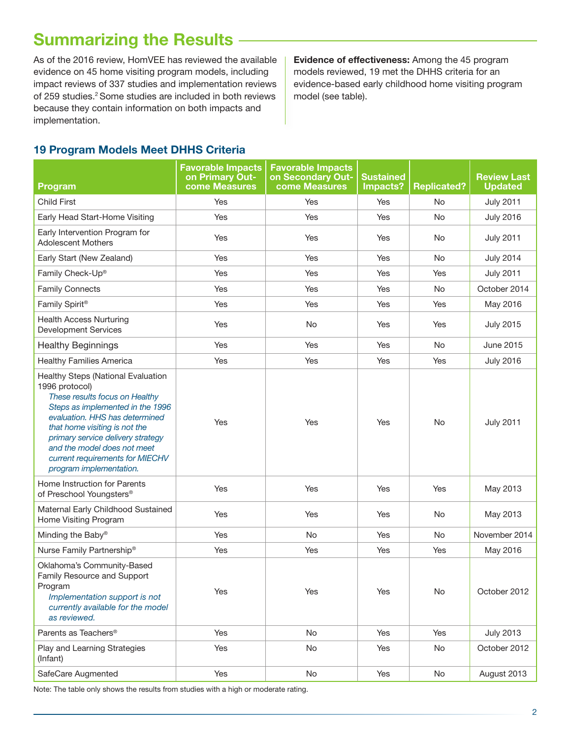## **Summarizing the Results**

As of the 2016 review, HomVEE has reviewed the available evidence on 45 home visiting program models, including impact reviews of 337 studies and implementation reviews of 259 studies.<sup>2</sup> Some studies are included in both reviews because they contain information on both impacts and implementation.

Evidence of effectiveness: Among the 45 program models reviewed, 19 met the DHHS criteria for an evidence-based early childhood home visiting program model (see table).

### 19 Program Models Meet DHHS Criteria

| Program                                                                                                                                                                                                                                                                                                                         | <b>Favorable Impacts</b><br>on Primary Out-<br>come Measures | <b>Favorable Impacts</b><br>on Secondary Out-<br><b>come Measures</b> | Sustained<br>Impacts? | <b>Replicated?</b> | <b>Review Last</b><br><b>Updated</b> |
|---------------------------------------------------------------------------------------------------------------------------------------------------------------------------------------------------------------------------------------------------------------------------------------------------------------------------------|--------------------------------------------------------------|-----------------------------------------------------------------------|-----------------------|--------------------|--------------------------------------|
| <b>Child First</b>                                                                                                                                                                                                                                                                                                              | Yes                                                          | Yes                                                                   | Yes                   | No.                | <b>July 2011</b>                     |
| Early Head Start-Home Visiting                                                                                                                                                                                                                                                                                                  | Yes                                                          | Yes                                                                   | Yes                   | No                 | <b>July 2016</b>                     |
| Early Intervention Program for<br><b>Adolescent Mothers</b>                                                                                                                                                                                                                                                                     | Yes                                                          | Yes                                                                   | Yes                   | No.                | <b>July 2011</b>                     |
| Early Start (New Zealand)                                                                                                                                                                                                                                                                                                       | Yes                                                          | Yes                                                                   | Yes                   | No                 | <b>July 2014</b>                     |
| Family Check-Up®                                                                                                                                                                                                                                                                                                                | Yes                                                          | Yes                                                                   | Yes                   | Yes                | <b>July 2011</b>                     |
| <b>Family Connects</b>                                                                                                                                                                                                                                                                                                          | Yes                                                          | Yes                                                                   | Yes                   | No                 | October 2014                         |
| Family Spirit®                                                                                                                                                                                                                                                                                                                  | Yes                                                          | Yes                                                                   | Yes                   | Yes                | May 2016                             |
| <b>Health Access Nurturing</b><br><b>Development Services</b>                                                                                                                                                                                                                                                                   | Yes                                                          | No                                                                    | Yes                   | Yes                | <b>July 2015</b>                     |
| <b>Healthy Beginnings</b>                                                                                                                                                                                                                                                                                                       | Yes                                                          | Yes                                                                   | Yes                   | No.                | June 2015                            |
| <b>Healthy Families America</b>                                                                                                                                                                                                                                                                                                 | Yes                                                          | Yes                                                                   | Yes                   | Yes                | <b>July 2016</b>                     |
| Healthy Steps (National Evaluation<br>1996 protocol)<br>These results focus on Healthy<br>Steps as implemented in the 1996<br>evaluation. HHS has determined<br>that home visiting is not the<br>primary service delivery strategy<br>and the model does not meet<br>current requirements for MIECHV<br>program implementation. | Yes                                                          | Yes                                                                   | Yes                   | <b>No</b>          | <b>July 2011</b>                     |
| Home Instruction for Parents<br>of Preschool Youngsters®                                                                                                                                                                                                                                                                        | Yes                                                          | Yes                                                                   | Yes                   | Yes                | May 2013                             |
| Maternal Early Childhood Sustained<br>Home Visiting Program                                                                                                                                                                                                                                                                     | Yes                                                          | Yes                                                                   | Yes                   | No.                | May 2013                             |
| Minding the Baby®                                                                                                                                                                                                                                                                                                               | Yes                                                          | <b>No</b>                                                             | Yes                   | No                 | November 2014                        |
| Nurse Family Partnership®                                                                                                                                                                                                                                                                                                       | Yes                                                          | Yes                                                                   | Yes                   | Yes                | May 2016                             |
| Oklahoma's Community-Based<br>Family Resource and Support<br>Program<br>Implementation support is not<br>currently available for the model<br>as reviewed.                                                                                                                                                                      | Yes                                                          | Yes                                                                   | Yes                   | No                 | October 2012                         |
| Parents as Teachers®                                                                                                                                                                                                                                                                                                            | Yes                                                          | No                                                                    | Yes                   | Yes                | <b>July 2013</b>                     |
| Play and Learning Strategies<br>(Infant)                                                                                                                                                                                                                                                                                        | Yes                                                          | No                                                                    | Yes                   | No                 | October 2012                         |
| SafeCare Augmented                                                                                                                                                                                                                                                                                                              | Yes                                                          | No                                                                    | Yes                   | No                 | August 2013                          |

Note: The table only shows the results from studies with a high or moderate rating.